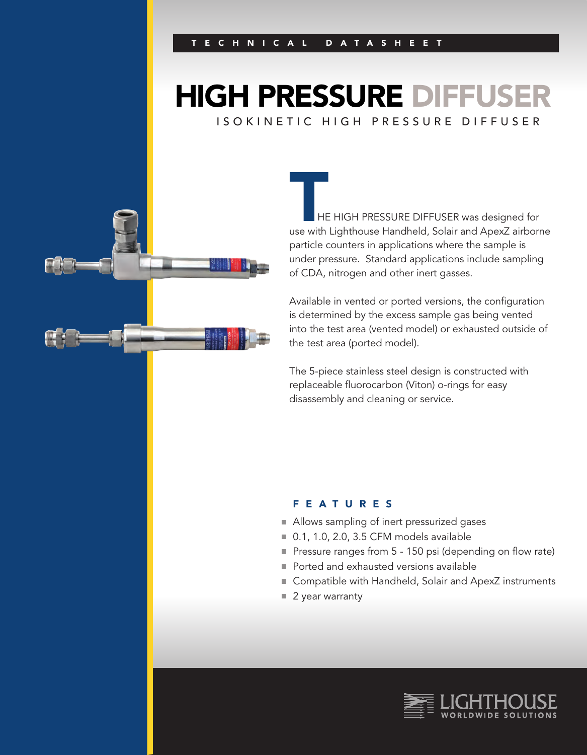# **HIGH PRESSURE DIFFUS** ISOKINETIC HIGH PRESSURE DIFFUSER

HE HIGH PRESSURE DIFFUSER was designed for USE WITH THE HIGH PRESSURE DIFFUSER was designed for<br>The Highthouse Handheld, Solair and ApexZ airborne particle counters in applications where the sample is under pressure. Standard applications include sampling of CDA, nitrogen and other inert gasses.

Available in vented or ported versions, the configuration is determined by the excess sample gas being vented into the test area (vented model) or exhausted outside of the test area (ported model).

The 5-piece stainless steel design is constructed with replaceable fluorocarbon (Viton) o-rings for easy disassembly and cleaning or service.

#### FEATURES

- Allows sampling of inert pressurized gases
- 0.1, 1.0, 2.0, 3.5 CFM models available
- Pressure ranges from 5 150 psi (depending on flow rate)
- Ported and exhausted versions available
- Compatible with Handheld, Solair and ApexZ instruments
- 2 year warranty